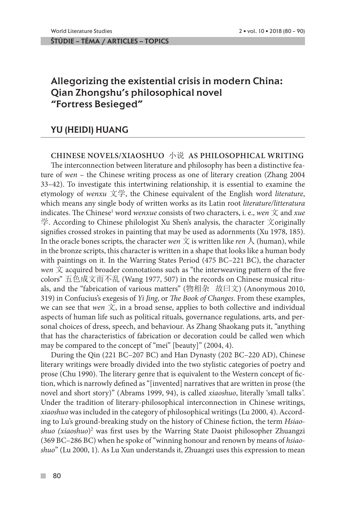# Allegorizing the existential crisis in modern China: Qian Zhongshu's philosophical novel "Fortress Besieged"

## YU (HEIDI) HUANG

### **CHINESE NOVELS/XIAOSHUO** 小说 **AS PHILOSOPHICAL WRITING**

The interconnection between literature and philosophy has been a distinctive feature of *wen* – the Chinese writing process as one of literary creation (Zhang 2004 33–42). To investigate this intertwining relationship, it is essential to examine the etymology of *wenxu* 文学, the Chinese equivalent of the English word *literature*, which means any single body of written works as its Latin root *literature/litteratura*  indicates. The Chinese<sup>1</sup> word *wenxue* consists of two characters, i. e., *wen*  $\dot{\mathbb{X}}$  and *xue* 学. According to Chinese philologist Xu Shen's analysis, the character 文originally signifies crossed strokes in painting that may be used as adornments (Xu 1978, 185). In the oracle bones scripts, the character *wen*  $\bar{\chi}$  is written like *ren*  $\Lambda$  (human), while in the bronze scripts, this character is written in a shape that looks like a human body with paintings on it. In the Warring States Period (475 BC–221 BC), the character *wen*  $\overline{\mathcal{X}}$  acquired broader connotations such as "the interweaving pattern of the five colors" 五色成文而不乱 (Wang 1977, 507) in the records on Chinese musical rituals, and the "fabrication of various matters" (物相杂 故曰文) (Anonymous 2010, 319) in Confucius's exegesis of *Yi Jing*, or *The Book of Changes*. From these examples, we can see that *wen*  $\dot{\mathcal{X}}$ , in a broad sense, applies to both collective and individual aspects of human life such as political rituals, governance regulations, arts, and personal choices of dress, speech, and behaviour. As Zhang Shaokang puts it, "anything that has the characteristics of fabrication or decoration could be called wen which may be compared to the concept of "mei" [beauty]" (2004, 4).

During the Qin (221 BC–207 BC) and Han Dynasty (202 BC–220 AD), Chinese literary writings were broadly divided into the two stylistic categories of poetry and prose (Chu 1990). The literary genre that is equivalent to the Western concept of fiction, which is narrowly defined as "[invented] narratives that are written in prose (the novel and short story)" (Abrams 1999, 94), is called *xiaoshuo*, literally 'small talks*'*. Under the tradition of literary-philosophical interconnection in Chinese writings, *xiaoshuo* was included in the category of philosophical writings (Lu 2000, 4). According to Lu's ground-breaking study on the history of Chinese fiction, the term *Hsiaoshuo (xiaoshuo*)<sup>2</sup> was first uses by the Warring State Daoist philosopher Zhuangzi (369 BC–286 BC) when he spoke of "winning honour and renown by means of *hsiaoshuo*" (Lu 2000, 1). As Lu Xun understands it, Zhuangzi uses this expression to mean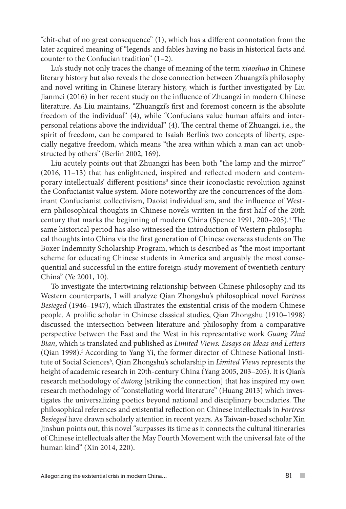"chit-chat of no great consequence" (1), which has a different connotation from the later acquired meaning of "legends and fables having no basis in historical facts and counter to the Confucian tradition" (1–2).

Lu's study not only traces the change of meaning of the term *xiaoshuo* in Chinese literary history but also reveals the close connection between Zhuangzi's philosophy and novel writing in Chinese literary history, which is further investigated by Liu Jianmei (2016) in her recent study on the influence of Zhuangzi in modern Chinese literature. As Liu maintains, "Zhuangzi's first and foremost concern is the absolute freedom of the individual" (4), while "Confucians value human affairs and interpersonal relations above the individual" (4). The central theme of Zhuangzi, i.e., the spirit of freedom, can be compared to Isaiah Berlin's two concepts of liberty, especially negative freedom, which means "the area within which a man can act unobstructed by others" (Berlin 2002, 169).

Liu acutely points out that Zhuangzi has been both "the lamp and the mirror" (2016, 11–13) that has enlightened, inspired and reflected modern and contemporary intellectuals' different positions<sup>3</sup> since their iconoclastic revolution against the Confucianist value system. More noteworthy are the concurrences of the dominant Confucianist collectivism, Daoist individualism, and the influence of Western philosophical thoughts in Chinese novels written in the first half of the 20th century that marks the beginning of modern China (Spence 1991, 200–205).4 The same historical period has also witnessed the introduction of Western philosophical thoughts into China via the first generation of Chinese overseas students on The Boxer Indemnity Scholarship Program, which is described as "the most important scheme for educating Chinese students in America and arguably the most consequential and successful in the entire foreign-study movement of twentieth century China" (Ye 2001, 10).

To investigate the intertwining relationship between Chinese philosophy and its Western counterparts, I will analyze Qian Zhongshu's philosophical novel *Fortress Besieged* (1946–1947), which illustrates the existential crisis of the modern Chinese people. A prolific scholar in Chinese classical studies, Qian Zhongshu (1910–1998) discussed the intersection between literature and philosophy from a comparative perspective between the East and the West in his representative work *Guang Zhui Bian*, which is translated and published as *Limited Views: Essays on Ideas and Letters*  (Qian 1998).<sup>5</sup> According to Yang Yi, the former director of Chinese National Institute of Social Sciences<sup>6</sup>, Qian Zhongshu's scholarship in *Limited Views* represents the height of academic research in 20th-century China (Yang 2005, 203–205). It is Qian's research methodology of *datong* [striking the connection] that has inspired my own research methodology of "constellating world literature" (Huang 2013) which investigates the universalizing poetics beyond national and disciplinary boundaries. The philosophical references and existential reflection on Chinese intellectuals in *Fortress Besieged* have drawn scholarly attention in recent years. As Taiwan-based scholar Xin Jinshun points out, this novel "surpasses its time as it connects the cultural itineraries of Chinese intellectuals after the May Fourth Movement with the universal fate of the human kind" (Xin 2014, 220).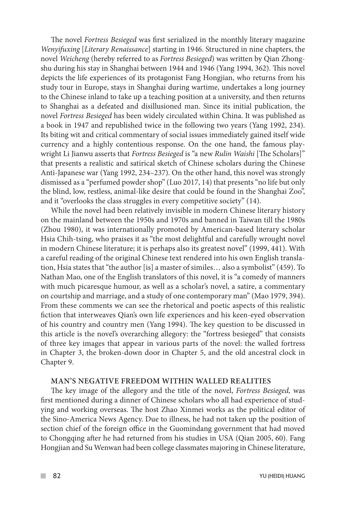The novel *Fortress Besieged* was first serialized in the monthly literary magazine *Wenyifuxing* [*Literary Renaissance*] starting in 1946. Structured in nine chapters, the novel *Weicheng* (hereby referred to as *Fortress Besieged*) was written by Qian Zhongshu during his stay in Shanghai between 1944 and 1946 (Yang 1994, 362). This novel depicts the life experiences of its protagonist Fang Hongjian, who returns from his study tour in Europe, stays in Shanghai during wartime, undertakes a long journey to the Chinese inland to take up a teaching position at a university, and then returns to Shanghai as a defeated and disillusioned man. Since its initial publication, the novel *Fortress Besieged* has been widely circulated within China. It was published as a book in 1947 and republished twice in the following two years (Yang 1992, 234). Its biting wit and critical commentary of social issues immediately gained itself wide currency and a highly contentious response. On the one hand, the famous playwright Li Jianwu asserts that *Fortress Besieged* is "a new *Rulin Waishi* [The Scholars]" that presents a realistic and satirical sketch of Chinese scholars during the Chinese Anti-Japanese war (Yang 1992, 234–237). On the other hand, this novel was strongly dismissed as a "perfumed powder shop" (Luo 2017, 14) that presents "no life but only the blind, low, restless, animal-like desire that could be found in the Shanghai Zoo", and it "overlooks the class struggles in every competitive society" (14).

While the novel had been relatively invisible in modern Chinese literary history on the mainland between the 1950s and 1970s and banned in Taiwan till the 1980s (Zhou 1980), it was internationally promoted by American-based literary scholar Hsia Chih-tsing, who praises it as "the most delightful and carefully wrought novel in modern Chinese literature; it is perhaps also its greatest novel" (1999, 441). With a careful reading of the original Chinese text rendered into his own English translation, Hsia states that "the author [is] a master of similes… also a symbolist" (459). To Nathan Mao, one of the English translators of this novel, it is "a comedy of manners with much picaresque humour, as well as a scholar's novel, a satire, a commentary on courtship and marriage, and a study of one contemporary man" (Mao 1979, 394). From these comments we can see the rhetorical and poetic aspects of this realistic fiction that interweaves Qian's own life experiences and his keen-eyed observation of his country and country men (Yang 1994). The key question to be discussed in this article is the novel's overarching allegory: the "fortress besieged" that consists of three key images that appear in various parts of the novel: the walled fortress in Chapter 3, the broken-down door in Chapter 5, and the old ancestral clock in Chapter 9.

#### **MAN'S NEGATIVE FREEDOM WITHIN WALLED REALITIES**

The key image of the allegory and the title of the novel, *Fortress Besieged,* was first mentioned during a dinner of Chinese scholars who all had experience of studying and working overseas. The host Zhao Xinmei works as the political editor of the Sino-America News Agency. Due to illness, he had not taken up the position of section chief of the foreign office in the Guomindang government that had moved to Chongqing after he had returned from his studies in USA (Qian 2005, 60). Fang Hongjian and Su Wenwan had been college classmates majoring in Chinese literature,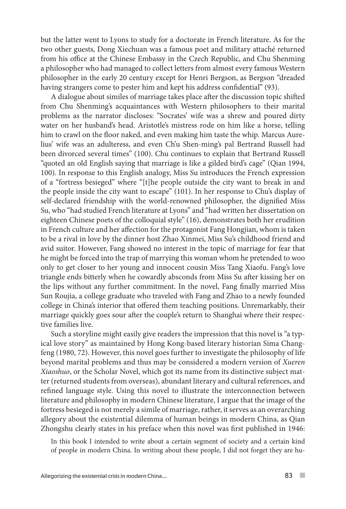but the latter went to Lyons to study for a doctorate in French literature. As for the two other guests, Dong Xiechuan was a famous poet and military attaché returned from his office at the Chinese Embassy in the Czech Republic, and Chu Shenming a philosopher who had managed to collect letters from almost every famous Western philosopher in the early 20 century except for Henri Bergson, as Bergson "dreaded having strangers come to pester him and kept his address confidential" (93).

A dialogue about similes of marriage takes place after the discussion topic shifted from Chu Shenming's acquaintances with Western philosophers to their marital problems as the narrator discloses: "Socrates' wife was a shrew and poured dirty water on her husband's head. Aristotle's mistress rode on him like a horse, telling him to crawl on the floor naked, and even making him taste the whip. Marcus Aurelius' wife was an adulteress, and even Ch'u Shen-ming's pal Bertrand Russell had been divorced several times" (100). Chu continues to explain that Bertrand Russell "quoted an old English saying that marriage is like a gilded bird's cage" (Qian 1994, 100). In response to this English analogy, Miss Su introduces the French expression of a "fortress besieged" where "[t]he people outside the city want to break in and the people inside the city want to escape" (101). In her response to Chu's display of self-declared friendship with the world-renowned philosopher, the dignified Miss Su, who "had studied French literature at Lyons" and "had written her dissertation on eighteen Chinese poets of the colloquial style" (16), demonstrates both her erudition in French culture and her affection for the protagonist Fang Hongjian, whom is taken to be a rival in love by the dinner host Zhao Xinmei, Miss Su's childhood friend and avid suitor. However, Fang showed no interest in the topic of marriage for fear that he might be forced into the trap of marrying this woman whom he pretended to woo only to get closer to her young and innocent cousin Miss Tang Xiaofu. Fang's love triangle ends bitterly when he cowardly absconds from Miss Su after kissing her on the lips without any further commitment. In the novel, Fang finally married Miss Sun Roujia, a college graduate who traveled with Fang and Zhao to a newly founded college in China's interior that offered them teaching positions. Unremarkably, their marriage quickly goes sour after the couple's return to Shanghai where their respective families live.

Such a storyline might easily give readers the impression that this novel is "a typical love story" as maintained by Hong Kong-based literary historian Sima Changfeng (1980, 72). However, this novel goes further to investigate the philosophy of life beyond marital problems and thus may be considered a modern version of *Xueren Xiaoshuo*, or the Scholar Novel, which got its name from its distinctive subject matter (returned students from overseas), abundant literary and cultural references, and refined language style. Using this novel to illustrate the interconnection between literature and philosophy in modern Chinese literature, I argue that the image of the fortress besieged is not merely a simile of marriage, rather, it serves as an overarching allegory about the existential dilemma of human beings in modern China, as Qian Zhongshu clearly states in his preface when this novel was first published in 1946:

In this book I intended to write about a certain segment of society and a certain kind of people in modern China. In writing about these people, I did not forget they are hu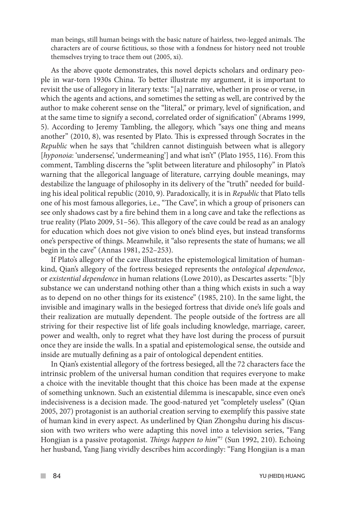man beings, still human beings with the basic nature of hairless, two-legged animals. The characters are of course fictitious, so those with a fondness for history need not trouble themselves trying to trace them out (2005, xi).

As the above quote demonstrates, this novel depicts scholars and ordinary people in war-torn 1930s China. To better illustrate my argument, it is important to revisit the use of allegory in literary texts: "[a] narrative, whether in prose or verse, in which the agents and actions, and sometimes the setting as well, are contrived by the author to make coherent sense on the "literal," or primary, level of signification, and at the same time to signify a second, correlated order of signification" (Abrams 1999, 5). According to Jeremy Tambling, the allegory, which "says one thing and means another" (2010, 8), was resented by Plato. This is expressed through Socrates in the *Republic* when he says that "children cannot distinguish between what is allegory [hyponoia: 'undersense', 'undermeaning'] and what isn't" (Plato 1955, 116). From this comment, Tambling discerns the "split between literature and philosophy" in Plato's warning that the allegorical language of literature, carrying double meanings, may destabilize the language of philosophy in its delivery of the "truth" needed for building his ideal political republic (2010, 9). Paradoxically, it is in *Republic* that Plato tells one of his most famous allegories, i.e., "The Cave", in which a group of prisoners can see only shadows cast by a fire behind them in a long cave and take the reflections as true reality (Plato 2009, 51–56). This allegory of the cave could be read as an analogy for education which does not give vision to one's blind eyes, but instead transforms one's perspective of things. Meanwhile, it "also represents the state of humans; we all begin in the cave" (Annas 1981, 252–253).

If Plato's allegory of the cave illustrates the epistemological limitation of humankind, Qian's allegory of the fortress besieged represents the *ontological dependence*, or *existential dependence* in human relations (Lowe 2010), as Descartes asserts: "[b]y substance we can understand nothing other than a thing which exists in such a way as to depend on no other things for its existence" (1985, 210). In the same light, the invisible and imaginary walls in the besieged fortress that divide one's life goals and their realization are mutually dependent. The people outside of the fortress are all striving for their respective list of life goals including knowledge, marriage, career, power and wealth, only to regret what they have lost during the process of pursuit once they are inside the walls. In a spatial and epistemological sense, the outside and inside are mutually defining as a pair of ontological dependent entities.

In Qian's existential allegory of the fortress besieged, all the 72 characters face the intrinsic problem of the universal human condition that requires everyone to make a choice with the inevitable thought that this choice has been made at the expense of something unknown. Such an existential dilemma is inescapable, since even one's indecisiveness is a decision made. The good-natured yet "completely useless" (Qian 2005, 207) protagonist is an authorial creation serving to exemplify this passive state of human kind in every aspect. As underlined by Qian Zhongshu during his discussion with two writers who were adapting this novel into a television series, "Fang Hongjian is a passive protagonist. *Things happen to him*"7 (Sun 1992, 210). Echoing her husband, Yang Jiang vividly describes him accordingly: "Fang Hongjian is a man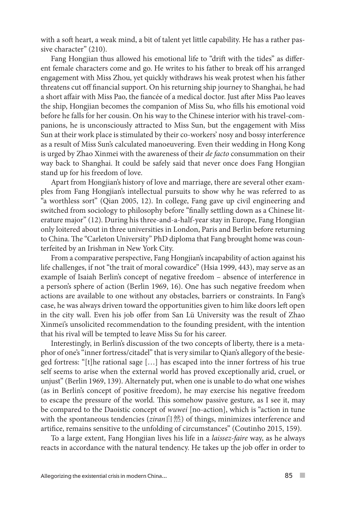with a soft heart, a weak mind, a bit of talent yet little capability. He has a rather passive character" (210).

Fang Hongjian thus allowed his emotional life to "drift with the tides" as different female characters come and go. He writes to his father to break off his arranged engagement with Miss Zhou, yet quickly withdraws his weak protest when his father threatens cut off financial support. On his returning ship journey to Shanghai, he had a short affair with Miss Pao, the fiancée of a medical doctor. Just after Miss Pao leaves the ship, Hongjian becomes the companion of Miss Su, who fills his emotional void before he falls for her cousin. On his way to the Chinese interior with his travel-companions, he is unconsciously attracted to Miss Sun, but the engagement with Miss Sun at their work place is stimulated by their co-workers' nosy and bossy interference as a result of Miss Sun's calculated manoeuvering. Even their wedding in Hong Kong is urged by Zhao Xinmei with the awareness of their *de facto* consummation on their way back to Shanghai. It could be safely said that never once does Fang Hongjian stand up for his freedom of love.

Apart from Hongjian's history of love and marriage, there are several other examples from Fang Hongjian's intellectual pursuits to show why he was referred to as "a worthless sort" (Qian 2005, 12). In college, Fang gave up civil engineering and switched from sociology to philosophy before "finally settling down as a Chinese literature major" (12). During his three-and-a-half-year stay in Europe, Fang Hongjian only loitered about in three universities in London, Paris and Berlin before returning to China. The "Carleton University" PhD diploma that Fang brought home was counterfeited by an Irishman in New York City.

From a comparative perspective, Fang Hongjian's incapability of action against his life challenges, if not "the trait of moral cowardice" (Hsia 1999, 443), may serve as an example of Isaiah Berlin's concept of negative freedom – absence of interference in a person's sphere of action (Berlin 1969, 16). One has such negative freedom when actions are available to one without any obstacles, barriers or constraints. In Fang's case, he was always driven toward the opportunities given to him like doors left open in the city wall. Even his job offer from San Lü University was the result of Zhao Xinmei's unsolicited recommendation to the founding president, with the intention that his rival will be tempted to leave Miss Su for his career.

Interestingly, in Berlin's discussion of the two concepts of liberty, there is a metaphor of one's "inner fortress/citadel" that is very similar to Qian's allegory of the besieged fortress: "[t]he rational sage […] has escaped into the inner fortress of his true self seems to arise when the external world has proved exceptionally arid, cruel, or unjust" (Berlin 1969, 139). Alternately put, when one is unable to do what one wishes (as in Berlin's concept of positive freedom), he may exercise his negative freedom to escape the pressure of the world. This somehow passive gesture, as I see it, may be compared to the Daoistic concept of *wuwei* [no-action], which is "action in tune with the spontaneous tendencies (*ziran*自然) of things, minimizes interference and artifice, remains sensitive to the unfolding of circumstances" (Coutinho 2015, 159).

To a large extent, Fang Hongjian lives his life in a *laissez-faire* way, as he always reacts in accordance with the natural tendency. He takes up the job offer in order to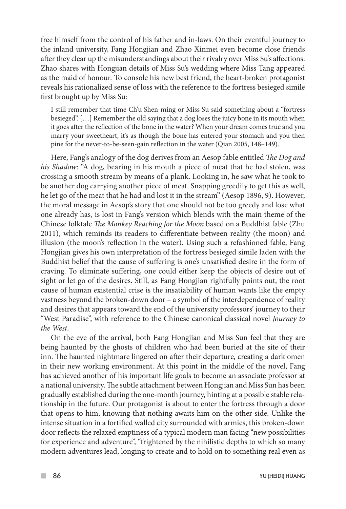free himself from the control of his father and in-laws. On their eventful journey to the inland university, Fang Hongjian and Zhao Xinmei even become close friends after they clear up the misunderstandings about their rivalry over Miss Su's affections. Zhao shares with Hongjian details of Miss Su's wedding where Miss Tang appeared as the maid of honour. To console his new best friend, the heart-broken protagonist reveals his rationalized sense of loss with the reference to the fortress besieged simile first brought up by Miss Su:

I still remember that time Ch'u Shen-ming or Miss Su said something about a "fortress besieged". […] Remember the old saying that a dog loses the juicy bone in its mouth when it goes after the reflection of the bone in the water? When your dream comes true and you marry your sweetheart, it's as though the bone has entered your stomach and you then pine for the never-to-be-seen-gain reflection in the water (Qian 2005, 148–149).

Here, Fang's analogy of the dog derives from an Aesop fable entitled *The Dog and his Shadow*: "A dog, bearing in his mouth a piece of meat that he had stolen, was crossing a smooth stream by means of a plank. Looking in, he saw what he took to be another dog carrying another piece of meat. Snapping greedily to get this as well, he let go of the meat that he had and lost it in the stream" (Aesop 1896, 9). However, the moral message in Aesop's story that one should not be too greedy and lose what one already has, is lost in Fang's version which blends with the main theme of the Chinese folktale *The Monkey Reaching for the Moon* based on a Buddhist fable (Zhu 2011), which reminds its readers to differentiate between reality (the moon) and illusion (the moon's reflection in the water). Using such a refashioned fable, Fang Hongjian gives his own interpretation of the fortress besieged simile laden with the Buddhist belief that the cause of suffering is one's unsatisfied desire in the form of craving. To eliminate suffering, one could either keep the objects of desire out of sight or let go of the desires. Still, as Fang Hongjian rightfully points out, the root cause of human existential crise is the insatiability of human wants like the empty vastness beyond the broken-down door – a symbol of the interdependence of reality and desires that appears toward the end of the university professors' journey to their "West Paradise", with reference to the Chinese canonical classical novel *Journey to the West*.

On the eve of the arrival, both Fang Hongjian and Miss Sun feel that they are being haunted by the ghosts of children who had been buried at the site of their inn. The haunted nightmare lingered on after their departure, creating a dark omen in their new working environment. At this point in the middle of the novel, Fang has achieved another of his important life goals to become an associate professor at a national university. The subtle attachment between Hongjian and Miss Sun has been gradually established during the one-month journey, hinting at a possible stable relationship in the future. Our protagonist is about to enter the fortress through a door that opens to him, knowing that nothing awaits him on the other side. Unlike the intense situation in a fortified walled city surrounded with armies, this broken-down door reflects the relaxed emptiness of a typical modern man facing "new possibilities for experience and adventure", "frightened by the nihilistic depths to which so many modern adventures lead, longing to create and to hold on to something real even as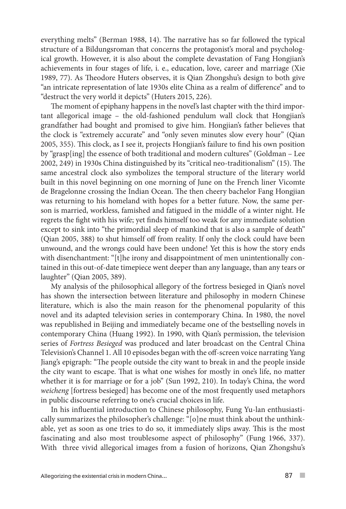everything melts" (Berman 1988, 14). The narrative has so far followed the typical structure of a Bildungsroman that concerns the protagonist's moral and psychological growth. However, it is also about the complete devastation of Fang Hongjian's achievements in four stages of life, i. e., education, love, career and marriage (Xie 1989, 77). As Theodore Huters observes, it is Qian Zhongshu's design to both give "an intricate representation of late 1930s elite China as a realm of difference" and to "destruct the very world it depicts" (Huters 2015, 226).

The moment of epiphany happens in the novel's last chapter with the third important allegorical image – the old-fashioned pendulum wall clock that Hongjian's grandfather had bought and promised to give him. Hongjian's father believes that the clock is "extremely accurate" and "only seven minutes slow every hour" (Qian 2005, 355). This clock, as I see it, projects Hongjian's failure to find his own position by "grasp[ing] the essence of both traditional and modern cultures" (Goldman – Lee 2002, 249) in 1930s China distinguished by its "critical neo-traditionalism" (15). The same ancestral clock also symbolizes the temporal structure of the literary world built in this novel beginning on one morning of June on the French liner Vicomte de Bragelonne crossing the Indian Ocean. The then cheery bachelor Fang Hongjian was returning to his homeland with hopes for a better future. Now, the same person is married, workless, famished and fatigued in the middle of a winter night. He regrets the fight with his wife; yet finds himself too weak for any immediate solution except to sink into "the primordial sleep of mankind that is also a sample of death" (Qian 2005, 388) to shut himself off from reality. If only the clock could have been unwound, and the wrongs could have been undone! Yet this is how the story ends with disenchantment: "[t]he irony and disappointment of men unintentionally contained in this out-of-date timepiece went deeper than any language, than any tears or laughter" (Qian 2005, 389).

My analysis of the philosophical allegory of the fortress besieged in Qian's novel has shown the intersection between literature and philosophy in modern Chinese literature, which is also the main reason for the phenomenal popularity of this novel and its adapted television series in contemporary China. In 1980, the novel was republished in Beijing and immediately became one of the bestselling novels in contemporary China (Huang 1992). In 1990, with Qian's permission, the television series of *Fortress Besieged* was produced and later broadcast on the Central China Television's Channel 1. All 10 episodes began with the off-screen voice narrating Yang Jiang's epigraph: "The people outside the city want to break in and the people inside the city want to escape. That is what one wishes for mostly in one's life, no matter whether it is for marriage or for a job" (Sun 1992, 210). In today's China, the word *weicheng* [fortress besieged] has become one of the most frequently used metaphors in public discourse referring to one's crucial choices in life.

In his influential introduction to Chinese philosophy, Fung Yu-lan enthusiastically summarizes the philosopher's challenge: "[o]ne must think about the unthinkable, yet as soon as one tries to do so, it immediately slips away. This is the most fascinating and also most troublesome aspect of philosophy" (Fung 1966, 337). With three vivid allegorical images from a fusion of horizons, Qian Zhongshu's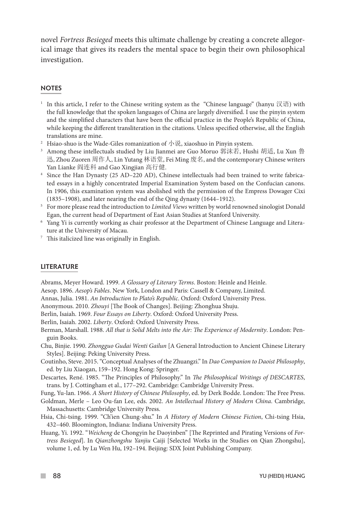novel *Fortress Besieged* meets this ultimate challenge by creating a concrete allegorical image that gives its readers the mental space to begin their own philosophical investigation.

#### **NOTES**

- <sup>1</sup> In this article, I refer to the Chinese writing system as the "Chinese language" (hanyu 汉语) with the full knowledge that the spoken languages of China are largely diversified. I use the pinyin system and the simplified characters that have been the official practice in the People's Republic of China, while keeping the different transliteration in the citations. Unless specified otherwise, all the English translations are mine.
- <sup>2</sup> Hsiao-shuo is the Wade-Giles romanization of 小说, xiaoshuo in Pinyin system.
- <sup>3</sup> Among these intellectuals studied by Liu Jianmei are Guo Moruo 郭沫若, Hushi 胡适, Lu Xun 鲁 迅, Zhou Zuoren 周作人, Lin Yutang 林语堂, Fei Ming 废名, and the contemporary Chinese writers Yan Lianke 阎连科 and Gao Xingjian 高行健.
- <sup>4</sup> Since the Han Dynasty (25 AD–220 AD), Chinese intellectuals had been trained to write fabricated essays in a highly concentrated Imperial Examination System based on the Confucian canons. In 1906, this examination system was abolished with the permission of the Empress Dowager Cixi (1835–1908), and later nearing the end of the Qing dynasty (1644–1912).
- <sup>5</sup> For more please read the introduction to *Limited Views* written by world renowned sinologist Donald Egan, the current head of Department of East Asian Studies at Stanford University.
- <sup>6</sup> Yang Yi is currently working as chair professor at the Department of Chinese Language and Literature at the University of Macau.
- $7$  This italicized line was originally in English.

#### LITERATURE

Abrams, Meyer Howard. 1999. *A Glossary of Literary Terms*. Boston: Heinle and Heinle. Aesop. 1896. *Aesop's Fables*. New York, London and Paris: Cassell & Company, Limited.

Annas, Julia. 1981. *An Introduction to Plato's Republic*. Oxford: Oxford University Press.

Anonymous. 2010. *Zhouyi* [The Book of Changes]. Beijing: Zhonghua Shuju.

Berlin, Isaiah. 1969. *Four Essays on Liberty*. Oxford: Oxford University Press.

Berlin, Isaiah. 2002. *Liberty*. Oxford: Oxford University Press.

- Berman, Marshall. 1988. *All that is Solid Melts into the Air: The Experience of Modernity*. London: Penguin Books.
- Chu, Binjie. 1990. *Zhongguo Gudai Wenti Gailun* [A General Introduction to Ancient Chinese Literary Styles]. Beijing: Peking University Press.
- Coutinho, Steve. 2015. "Conceptual Analyses of the Zhuangzi." In *Dao Companion to Daoist Philosophy*, ed. by Liu Xiaogan, 159–192. Hong Kong: Springer.
- Descartes, René. 1985. "The Principles of Philosophy." In *The Philosophical Writings of DESCARTES*, trans. by J. Cottingham et al., 177–292. Cambridge: Cambridge University Press.

Fung, Yu-lan. 1966. *A Short History of Chinese Philosophy*, ed. by Derk Bodde. London: The Free Press.

- Goldman, Merle Leo Ou-fan Lee, eds. 2002. *An Intellectual History of Modern China*. Cambridge, Massachusetts: Cambridge University Press.
- Hsia, Chi-tsing. 1999. "Ch'ien Chung-shu." In *A History of Modern Chinese Fiction*, Chi-tsing Hsia, 432–460. Bloomington, Indiana: Indiana University Press.
- Huang, Yi. 1992. "*Weicheng* de Chongyin he Daoyinben" [The Reprinted and Pirating Versions of *Fortress Besieged*]. In *Qianzhongshu Yanjiu* Caiji [Selected Works in the Studies on Qian Zhongshu], volume 1, ed. by Lu Wen Hu, 192–194. Beijing: SDX Joint Publishing Company.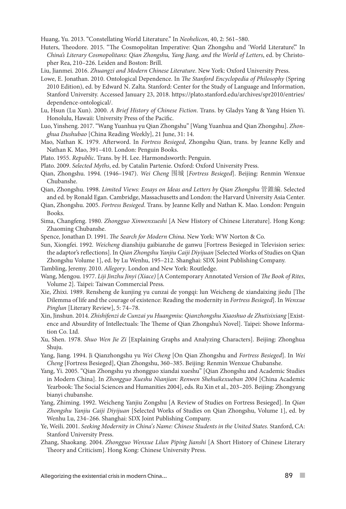Huang, Yu. 2013. "Constellating World Literature." In *Neohelicon*, 40, 2: 561–580.

- Huters, Theodore. 2015. "The Cosmopolitan Imperative: Qian Zhongshu and 'World Literature." In *China's Literary Cosmopolitans: Qian Zhongshu, Yang Jiang, and the World of Letters*, ed. by Christopher Rea, 210–226. Leiden and Boston: Brill.
- Liu, Jianmei. 2016. *Zhuangzi and Modern Chinese Literature*. New York: Oxford University Press.
- Lowe, E. Jonathan. 2010. Ontological Dependence. In *The Stanford Encyclopedia of Philosophy* (Spring 2010 Edition), ed. by Edward N. Zalta. Stanford: Center for the Study of Language and Information, Stanford University. Accessed January 23, 2018. https://plato.stanford.edu/archives/spr2010/entries/ dependence-ontological/.
- Lu, Hsun (Lu Xun). 2000. *A Brief History of Chinese Fiction*. Trans. by Gladys Yang & Yang Hsien Yi. Honolulu, Hawaii: University Press of the Pacific.
- Luo, Yinsheng. 2017. "Wang Yuanhua yu Qian Zhongshu" [Wang Yuanhua and Qian Zhongshu]. *Zhonghua Dushubao* [China Reading Weekly], 21 June, 31: 14.
- Mao, Nathan K. 1979. Afterword. In *Fortress Besieged*, Zhongshu Qian, trans. by Jeanne Kelly and Nathan K. Mao, 391–410. London: Penguin Books.
- Plato. 1955. *Republic*. Trans. by H. Lee. Harmondsworth: Penguin.
- Plato. 2009. *Selected Myths*, ed. by Catalin Partenie. Oxford: Oxford University Press.
- Qian, Zhongshu. 1994. (1946–1947). *Wei Cheng* 围城 [*Fortress Besieged*]. Beijing: Renmin Wenxue Chubanshe.
- Qian, Zhongshu. 1998. *Limited Views: Essays on Ideas and Letters by Qian Zhongshu* 管錐編. Selected and ed. by Ronald Egan. Cambridge, Massachusetts and London: the Harvard University Asia Center.
- Qian, Zhongshu. 2005. *Fortress Besieged*. Trans. by Jeanne Kelly and Nathan K. Mao. London: Penguin Books.
- Sima, Changfeng. 1980. *Zhongguo Xinwenxueshi* [A New History of Chinese Literature]. Hong Kong: Zhaoming Chubanshe.
- Spence, Jonathan D. 1991. *The Search for Modern China*. New York: WW Norton & Co.
- Sun, Xiongfei. 1992. *Weicheng* dianshiju gaibianzhe de ganwu [Fortress Besieged in Television series: the adaptor's reflections]. In *Qian Zhongshu Yanjiu Caiji Diyijuan* [Selected Works of Studies on Qian Zhongshu Volume 1], ed. by Lu Wenhu, 195–212. Shanghai: SDX Joint Publishing Company.
- Tambling, Jeremy. 2010. *Allegory*. London and New York: Routledge.
- Wang, Mengou. 1977. *Liji Jinzhu Jinyi (Xiace)* [A Contemporary Annotated Version of *The Book of Rites*, Volume 2]. Taipei: Taiwan Commercial Press.
- Xie, Zhixi. 1989. Rensheng de kunjing yu cunzai de yongqi: lun Weicheng de xiandaixing jiedu [The Dilemma of life and the courage of existence: Reading the modernity in *Fortress Besieged*]. In *Wenxue Pinglun* [Literary Review], 5: 74–78.
- Xin, Jinshun. 2014. *Zhishifenzi de Cunzai yu Huangmiu: Qianzhongshu Xiaoshuo de Zhutisixiang* [Existence and Absurdity of Intellectuals: The Theme of Qian Zhongshu's Novel]. Taipei: Showe Information Co. Ltd.
- Xu, Shen. 1978. *Shuo Wen Jie Zi* [Explaining Graphs and Analyzing Characters]. Beijing: Zhonghua Shuju.
- Yang, Jiang. 1994. Ji Qianzhongshu yu *Wei Cheng* [On Qian Zhongshu and *Fortress Besieged*]. In *Wei Cheng* [Fortress Besieged], Qian Zhongshu, 360–385. Beijing: Renmin Wenxue Chubanshe.
- Yang, Yi. 2005. "Qian Zhongshu yu zhongguo xiandai xueshu" [Qian Zhongshu and Academic Studies in Modern China]. In *Zhongguo Xueshu Nianjian: Renwen Shehuikexueban 2004* [China Academic Yearbook: The Social Sciences and Humanities 2004], eds. Ru Xin et al., 203–205. Beijing: Zhongyang bianyi chubanshe.
- Yang, Zhiming. 1992. Weicheng Yanjiu Zongshu [A Review of Studies on Fortress Besieged]. In *Qian Zhongshu Yanjiu Caiji Diyijuan* [Selected Works of Studies on Qian Zhongshu, Volume 1], ed. by Wenhu Lu, 234–266. Shanghai: SDX Joint Publishing Company.
- Ye, Weili. 2001. *Seeking Modernity in China's Name: Chinese Students in the United States.* Stanford, CA: Stanford University Press.
- Zhang, Shaokang. 2004. *Zhongguo Wenxue Lilun Piping Jianshi* [A Short History of Chinese Literary Theory and Criticism]. Hong Kong: Chinese University Press.